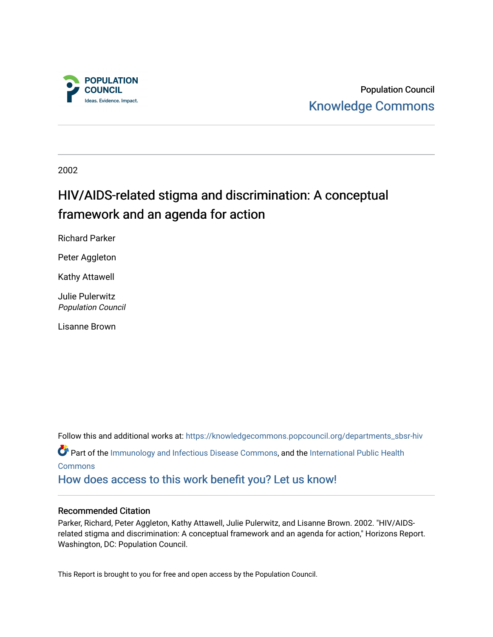

Population Council [Knowledge Commons](https://knowledgecommons.popcouncil.org/) 

2002

# HIV/AIDS-related stigma and discrimination: A conceptual framework and an agenda for action

Richard Parker

Peter Aggleton

Kathy Attawell

Julie Pulerwitz Population Council

Lisanne Brown

Follow this and additional works at: [https://knowledgecommons.popcouncil.org/departments\\_sbsr-hiv](https://knowledgecommons.popcouncil.org/departments_sbsr-hiv?utm_source=knowledgecommons.popcouncil.org%2Fdepartments_sbsr-hiv%2F723&utm_medium=PDF&utm_campaign=PDFCoverPages) Part of the [Immunology and Infectious Disease Commons,](https://network.bepress.com/hgg/discipline/33?utm_source=knowledgecommons.popcouncil.org%2Fdepartments_sbsr-hiv%2F723&utm_medium=PDF&utm_campaign=PDFCoverPages) and the [International Public Health](https://network.bepress.com/hgg/discipline/746?utm_source=knowledgecommons.popcouncil.org%2Fdepartments_sbsr-hiv%2F723&utm_medium=PDF&utm_campaign=PDFCoverPages) [Commons](https://network.bepress.com/hgg/discipline/746?utm_source=knowledgecommons.popcouncil.org%2Fdepartments_sbsr-hiv%2F723&utm_medium=PDF&utm_campaign=PDFCoverPages) [How does access to this work benefit you? Let us know!](https://pcouncil.wufoo.com/forms/open-access-to-population-council-research/)

#### Recommended Citation

Parker, Richard, Peter Aggleton, Kathy Attawell, Julie Pulerwitz, and Lisanne Brown. 2002. "HIV/AIDSrelated stigma and discrimination: A conceptual framework and an agenda for action," Horizons Report. Washington, DC: Population Council.

This Report is brought to you for free and open access by the Population Council.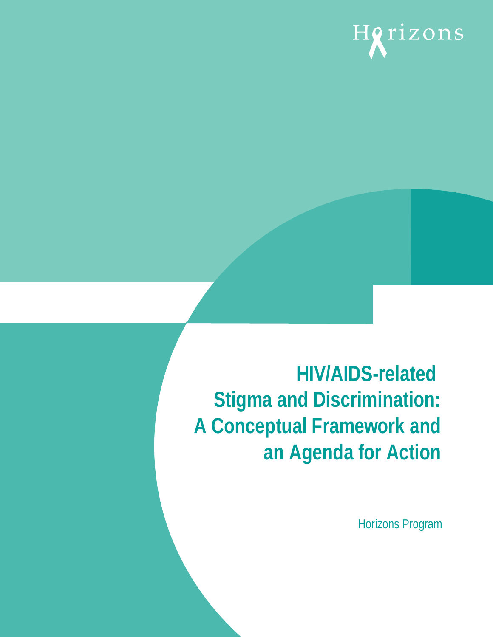# Horizons

# **HIV/AIDS-related Stigma and Discrimination: A Conceptual Framework and an Agenda for Action**

Horizons Program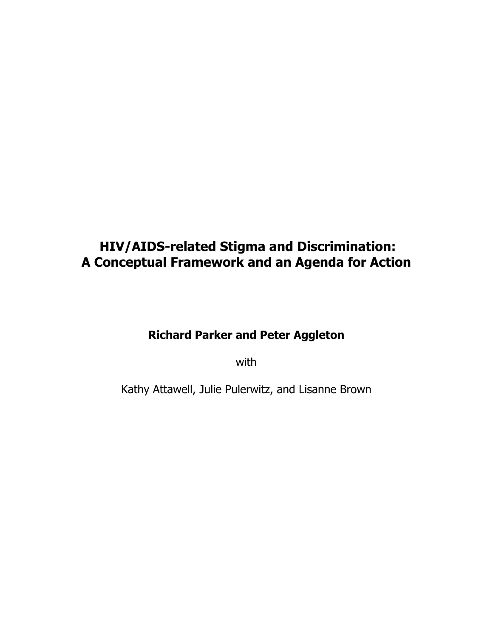# **HIV/AIDS-related Stigma and Discrimination: A Conceptual Framework and an Agenda for Action**

# **Richard Parker and Peter Aggleton**

with

Kathy Attawell, Julie Pulerwitz, and Lisanne Brown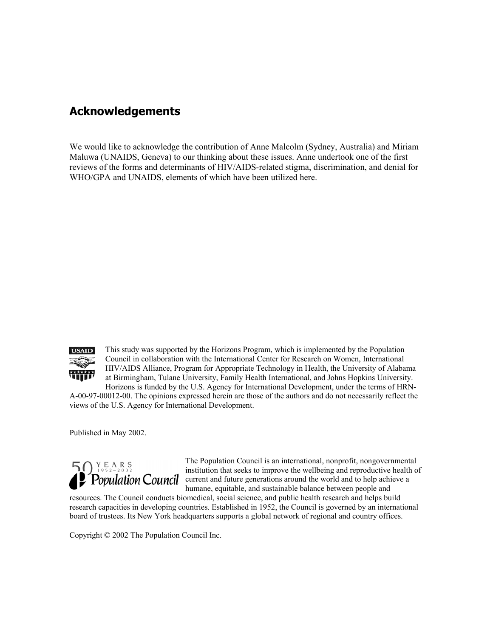# **Acknowledgements**

We would like to acknowledge the contribution of Anne Malcolm (Sydney, Australia) and Miriam Maluwa (UNAIDS, Geneva) to our thinking about these issues. Anne undertook one of the first reviews of the forms and determinants of HIV/AIDS-related stigma, discrimination, and denial for WHO/GPA and UNAIDS, elements of which have been utilized here.



This study was supported by the Horizons Program, which is implemented by the Population Council in collaboration with the International Center for Research on Women, International HIV/AIDS Alliance, Program for Appropriate Technology in Health, the University of Alabama at Birmingham, Tulane University, Family Health International, and Johns Hopkins University. Horizons is funded by the U.S. Agency for International Development, under the terms of HRN-

A-00-97-00012-00. The opinions expressed herein are those of the authors and do not necessarily reflect the views of the U.S. Agency for International Development.

Published in May 2002.



The Population Council is an international, nonprofit, nongovernmental institution that seeks to improve the wellbeing and reproductive health of current and future generations around the world and to help achieve a humane, equitable, and sustainable balance between people and

resources. The Council conducts biomedical, social science, and public health research and helps build research capacities in developing countries. Established in 1952, the Council is governed by an international board of trustees. Its New York headquarters supports a global network of regional and country offices.

Copyright © 2002 The Population Council Inc.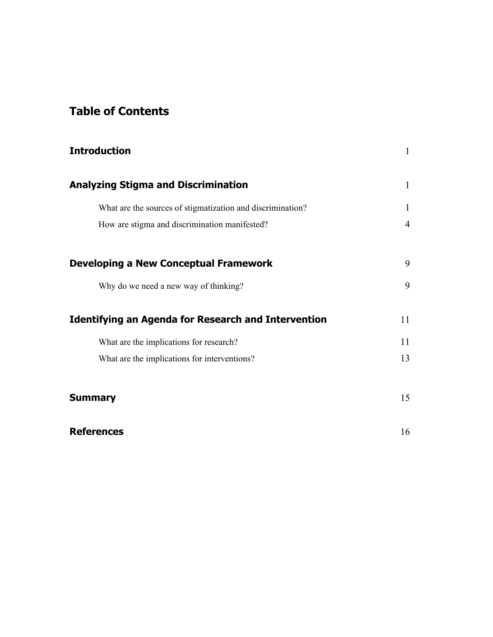# **Table of Contents**

| <b>Introduction</b>                                        | $\mathbf{1}$ |
|------------------------------------------------------------|--------------|
| <b>Analyzing Stigma and Discrimination</b>                 | $\mathbf{1}$ |
| What are the sources of stigmatization and discrimination? | 1            |
| How are stigma and discrimination manifested?              | 4            |
| <b>Developing a New Conceptual Framework</b>               | 9            |
| Why do we need a new way of thinking?                      | 9            |
| <b>Identifying an Agenda for Research and Intervention</b> | 11           |
| What are the implications for research?                    | 11           |
| What are the implications for interventions?               | 13           |
| <b>Summary</b>                                             | 15           |
| <b>References</b>                                          | 16           |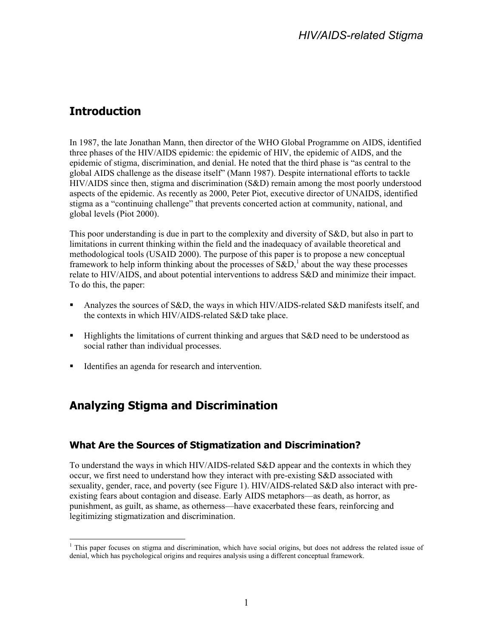# <span id="page-6-0"></span>**Introduction**

In 1987, the late Jonathan Mann, then director of the WHO Global Programme on AIDS, identified three phases of the HIV/AIDS epidemic: the epidemic of HIV, the epidemic of AIDS, and the epidemic of stigma, discrimination, and denial. He noted that the third phase is "as central to the global AIDS challenge as the disease itself" (Mann 1987). Despite international efforts to tackle HIV/AIDS since then, stigma and discrimination (S&D) remain among the most poorly understood aspects of the epidemic. As recently as 2000, Peter Piot, executive director of UNAIDS, identified stigma as a "continuing challenge" that prevents concerted action at community, national, and global levels (Piot 2000).

This poor understanding is due in part to the complexity and diversity of S&D, but also in part to limitations in current thinking within the field and the inadequacy of available theoretical and methodological tools (USAID 2000). The purpose of this paper is to propose a new conceptual frameworkto help inform thinking about the processes of  $S\&D$ ,<sup>1</sup> about the way these processes relate to HIV/AIDS, and about potential interventions to address S&D and minimize their impact. To do this, the paper:

- Analyzes the sources of S&D, the ways in which HIV/AIDS-related S&D manifests itself, and the contexts in which HIV/AIDS-related S&D take place.
- Highlights the limitations of current thinking and argues that S&D need to be understood as social rather than individual processes.
- Identifies an agenda for research and intervention.

# **Analyzing Stigma and Discrimination**

#### **What Are the Sources of Stigmatization and Discrimination?**

To understand the ways in which HIV/AIDS-related S&D appear and the contexts in which they occur, we first need to understand how they interact with pre-existing S&D associated with sexuality, gender, race, and poverty (see Figure 1). HIV/AIDS-related S&D also interact with preexisting fears about contagion and disease. Early AIDS metaphors—as death, as horror, as punishment, as guilt, as shame, as otherness—have exacerbated these fears, reinforcing and legitimizing stigmatization and discrimination.

<span id="page-6-1"></span> $\overline{a}$ <sup>1</sup> This paper focuses on stigma and discrimination, which have social origins, but does not address the related issue of denial, which has psychological origins and requires analysis using a different conceptual framework.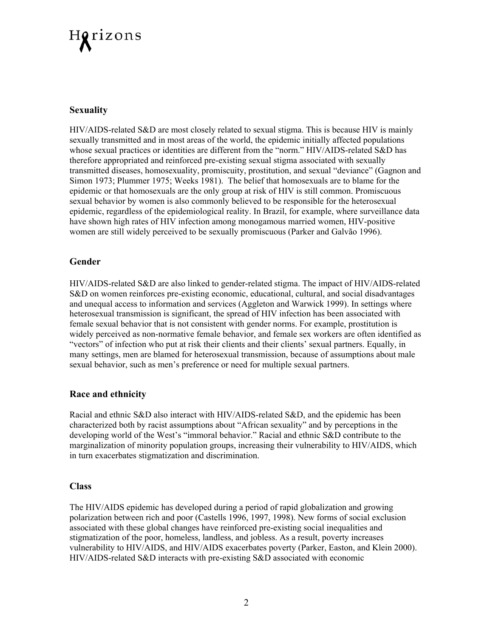# Horizons

#### **Sexuality**

HIV/AIDS-related S&D are most closely related to sexual stigma. This is because HIV is mainly sexually transmitted and in most areas of the world, the epidemic initially affected populations whose sexual practices or identities are different from the "norm." HIV/AIDS-related S&D has therefore appropriated and reinforced pre-existing sexual stigma associated with sexually transmitted diseases, homosexuality, promiscuity, prostitution, and sexual "deviance" (Gagnon and Simon 1973; Plummer 1975; Weeks 1981). The belief that homosexuals are to blame for the epidemic or that homosexuals are the only group at risk of HIV is still common. Promiscuous sexual behavior by women is also commonly believed to be responsible for the heterosexual epidemic, regardless of the epidemiological reality. In Brazil, for example, where surveillance data have shown high rates of HIV infection among monogamous married women, HIV-positive women are still widely perceived to be sexually promiscuous (Parker and Galvão 1996).

#### **Gender**

HIV/AIDS-related S&D are also linked to gender-related stigma. The impact of HIV/AIDS-related S&D on women reinforces pre-existing economic, educational, cultural, and social disadvantages and unequal access to information and services (Aggleton and Warwick 1999). In settings where heterosexual transmission is significant, the spread of HIV infection has been associated with female sexual behavior that is not consistent with gender norms. For example, prostitution is widely perceived as non-normative female behavior, and female sex workers are often identified as "vectors" of infection who put at risk their clients and their clients' sexual partners. Equally, in many settings, men are blamed for heterosexual transmission, because of assumptions about male sexual behavior, such as men's preference or need for multiple sexual partners.

#### **Race and ethnicity**

Racial and ethnic S&D also interact with HIV/AIDS-related S&D, and the epidemic has been characterized both by racist assumptions about "African sexuality" and by perceptions in the developing world of the West's "immoral behavior." Racial and ethnic S&D contribute to the marginalization of minority population groups, increasing their vulnerability to HIV/AIDS, which in turn exacerbates stigmatization and discrimination.

#### **Class**

The HIV/AIDS epidemic has developed during a period of rapid globalization and growing polarization between rich and poor (Castells 1996, 1997, 1998). New forms of social exclusion associated with these global changes have reinforced pre-existing social inequalities and stigmatization of the poor, homeless, landless, and jobless. As a result, poverty increases vulnerability to HIV/AIDS, and HIV/AIDS exacerbates poverty (Parker, Easton, and Klein 2000). HIV/AIDS-related S&D interacts with pre-existing S&D associated with economic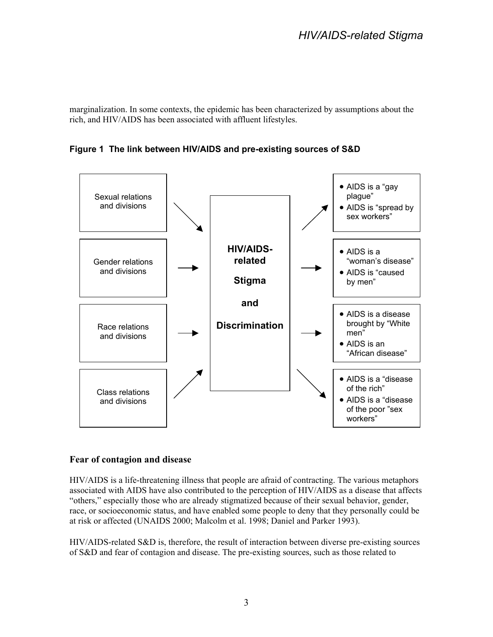marginalization. In some contexts, the epidemic has been characterized by assumptions about the rich, and HIV/AIDS has been associated with affluent lifestyles.

**Figure 1 The link between HIV/AIDS and pre-existing sources of S&D** 



#### **Fear of contagion and disease**

HIV/AIDS is a life-threatening illness that people are afraid of contracting. The various metaphors associated with AIDS have also contributed to the perception of HIV/AIDS as a disease that affects "others," especially those who are already stigmatized because of their sexual behavior, gender, race, or socioeconomic status, and have enabled some people to deny that they personally could be at risk or affected (UNAIDS 2000; Malcolm et al. 1998; Daniel and Parker 1993).

HIV/AIDS-related S&D is, therefore, the result of interaction between diverse pre-existing sources of S&D and fear of contagion and disease. The pre-existing sources, such as those related to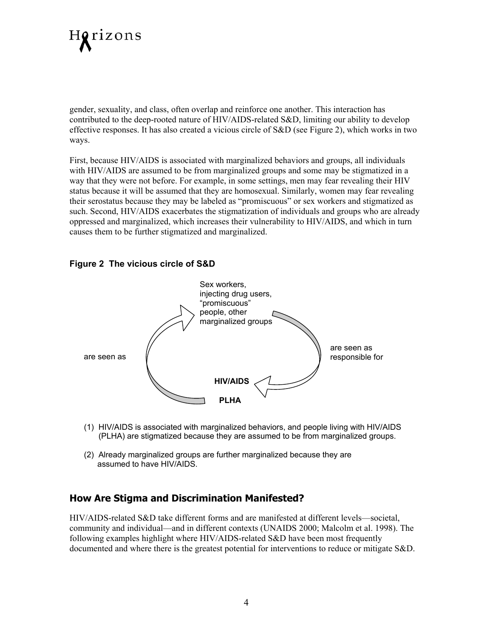

gender, sexuality, and class, often overlap and reinforce one another. This interaction has contributed to the deep-rooted nature of HIV/AIDS-related S&D, limiting our ability to develop effective responses. It has also created a vicious circle of S&D (see Figure 2), which works in two ways.

First, because HIV/AIDS is associated with marginalized behaviors and groups, all individuals with HIV/AIDS are assumed to be from marginalized groups and some may be stigmatized in a way that they were not before. For example, in some settings, men may fear revealing their HIV status because it will be assumed that they are homosexual. Similarly, women may fear revealing their serostatus because they may be labeled as "promiscuous" or sex workers and stigmatized as such. Second, HIV/AIDS exacerbates the stigmatization of individuals and groups who are already oppressed and marginalized, which increases their vulnerability to HIV/AIDS, and which in turn causes them to be further stigmatized and marginalized.

#### **Figure 2 The vicious circle of S&D**



- (1) HIV/AIDS is associated with marginalized behaviors, and people living with HIV/AIDS (PLHA) are stigmatized because they are assumed to be from marginalized groups.
- (2) Already marginalized groups are further marginalized because they are assumed to have HIV/AIDS.

#### **How Are Stigma and Discrimination Manifested?**

HIV/AIDS-related S&D take different forms and are manifested at different levels—societal, community and individual—and in different contexts (UNAIDS 2000; Malcolm et al. 1998). The following examples highlight where HIV/AIDS-related S&D have been most frequently documented and where there is the greatest potential for interventions to reduce or mitigate S&D.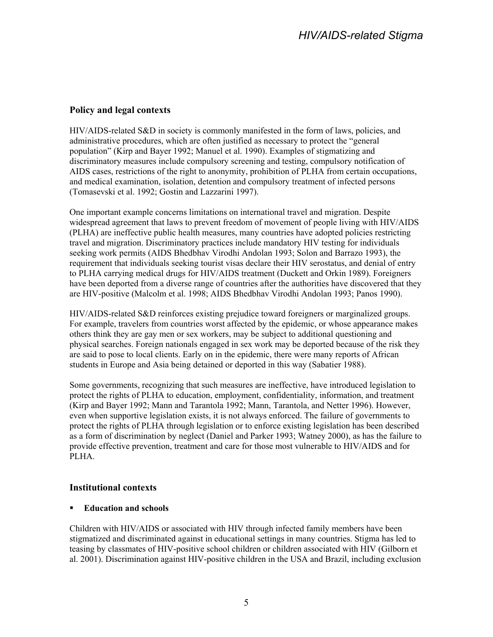#### **Policy and legal contexts**

HIV/AIDS-related S&D in society is commonly manifested in the form of laws, policies, and administrative procedures, which are often justified as necessary to protect the "general population" (Kirp and Bayer 1992; Manuel et al. 1990). Examples of stigmatizing and discriminatory measures include compulsory screening and testing, compulsory notification of AIDS cases, restrictions of the right to anonymity, prohibition of PLHA from certain occupations, and medical examination, isolation, detention and compulsory treatment of infected persons (Tomasevski et al. 1992; Gostin and Lazzarini 1997).

One important example concerns limitations on international travel and migration. Despite widespread agreement that laws to prevent freedom of movement of people living with HIV/AIDS (PLHA) are ineffective public health measures, many countries have adopted policies restricting travel and migration. Discriminatory practices include mandatory HIV testing for individuals seeking work permits (AIDS Bhedbhav Virodhi Andolan 1993; Solon and Barrazo 1993), the requirement that individuals seeking tourist visas declare their HIV serostatus, and denial of entry to PLHA carrying medical drugs for HIV/AIDS treatment (Duckett and Orkin 1989). Foreigners have been deported from a diverse range of countries after the authorities have discovered that they are HIV-positive (Malcolm et al. 1998; AIDS Bhedbhav Virodhi Andolan 1993; Panos 1990).

HIV/AIDS-related S&D reinforces existing prejudice toward foreigners or marginalized groups. For example, travelers from countries worst affected by the epidemic, or whose appearance makes others think they are gay men or sex workers, may be subject to additional questioning and physical searches. Foreign nationals engaged in sex work may be deported because of the risk they are said to pose to local clients. Early on in the epidemic, there were many reports of African students in Europe and Asia being detained or deported in this way (Sabatier 1988).

Some governments, recognizing that such measures are ineffective, have introduced legislation to protect the rights of PLHA to education, employment, confidentiality, information, and treatment (Kirp and Bayer 1992; Mann and Tarantola 1992; Mann, Tarantola, and Netter 1996). However, even when supportive legislation exists, it is not always enforced. The failure of governments to protect the rights of PLHA through legislation or to enforce existing legislation has been described as a form of discrimination by neglect (Daniel and Parker 1993; Watney 2000), as has the failure to provide effective prevention, treatment and care for those most vulnerable to HIV/AIDS and for PLHA.

#### **Institutional contexts**

#### **Education and schools**

Children with HIV/AIDS or associated with HIV through infected family members have been stigmatized and discriminated against in educational settings in many countries. Stigma has led to teasing by classmates of HIV-positive school children or children associated with HIV (Gilborn et al. 2001). Discrimination against HIV-positive children in the USA and Brazil, including exclusion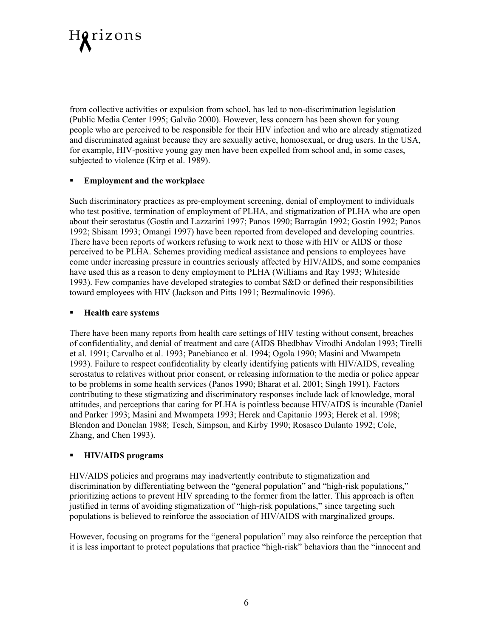

from collective activities or expulsion from school, has led to non-discrimination legislation (Public Media Center 1995; Galvão 2000). However, less concern has been shown for young people who are perceived to be responsible for their HIV infection and who are already stigmatized and discriminated against because they are sexually active, homosexual, or drug users. In the USA, for example, HIV-positive young gay men have been expelled from school and, in some cases, subjected to violence (Kirp et al. 1989).

#### **Employment and the workplace**

Such discriminatory practices as pre-employment screening, denial of employment to individuals who test positive, termination of employment of PLHA, and stigmatization of PLHA who are open about their serostatus (Gostin and Lazzarini 1997; Panos 1990; Barragán 1992; Gostin 1992; Panos 1992; Shisam 1993; Omangi 1997) have been reported from developed and developing countries. There have been reports of workers refusing to work next to those with HIV or AIDS or those perceived to be PLHA. Schemes providing medical assistance and pensions to employees have come under increasing pressure in countries seriously affected by HIV/AIDS, and some companies have used this as a reason to deny employment to PLHA (Williams and Ray 1993; Whiteside 1993). Few companies have developed strategies to combat S&D or defined their responsibilities toward employees with HIV (Jackson and Pitts 1991; Bezmalinovic 1996).

#### **Health care systems**

There have been many reports from health care settings of HIV testing without consent, breaches of confidentiality, and denial of treatment and care (AIDS Bhedbhav Virodhi Andolan 1993; Tirelli et al. 1991; Carvalho et al. 1993; Panebianco et al. 1994; Ogola 1990; Masini and Mwampeta 1993). Failure to respect confidentiality by clearly identifying patients with HIV/AIDS, revealing serostatus to relatives without prior consent, or releasing information to the media or police appear to be problems in some health services (Panos 1990; Bharat et al. 2001; Singh 1991). Factors contributing to these stigmatizing and discriminatory responses include lack of knowledge, moral attitudes, and perceptions that caring for PLHA is pointless because HIV/AIDS is incurable (Daniel and Parker 1993; Masini and Mwampeta 1993; Herek and Capitanio 1993; Herek et al. 1998; Blendon and Donelan 1988; Tesch, Simpson, and Kirby 1990; Rosasco Dulanto 1992; Cole, Zhang, and Chen 1993).

#### **HIV/AIDS programs**

HIV/AIDS policies and programs may inadvertently contribute to stigmatization and discrimination by differentiating between the "general population" and "high-risk populations," prioritizing actions to prevent HIV spreading to the former from the latter. This approach is often justified in terms of avoiding stigmatization of "high-risk populations," since targeting such populations is believed to reinforce the association of HIV/AIDS with marginalized groups.

However, focusing on programs for the "general population" may also reinforce the perception that it is less important to protect populations that practice "high-risk" behaviors than the "innocent and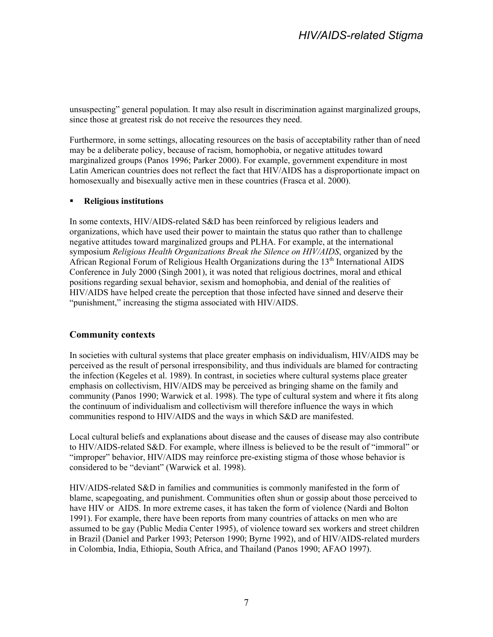## *HIV/AIDS-related Stigma*

unsuspecting" general population. It may also result in discrimination against marginalized groups, since those at greatest risk do not receive the resources they need.

Furthermore, in some settings, allocating resources on the basis of acceptability rather than of need may be a deliberate policy, because of racism, homophobia, or negative attitudes toward marginalized groups (Panos 1996; Parker 2000). For example, government expenditure in most Latin American countries does not reflect the fact that HIV/AIDS has a disproportionate impact on homosexually and bisexually active men in these countries (Frasca et al. 2000).

#### **Religious institutions**

In some contexts, HIV/AIDS-related S&D has been reinforced by religious leaders and organizations, which have used their power to maintain the status quo rather than to challenge negative attitudes toward marginalized groups and PLHA. For example, at the international symposium *Religious Health Organizations Break the Silence on HIV/AIDS*, organized by the African Regional Forum of Religious Health Organizations during the 13<sup>th</sup> International AIDS Conference in July 2000 (Singh 2001), it was noted that religious doctrines, moral and ethical positions regarding sexual behavior, sexism and homophobia, and denial of the realities of HIV/AIDS have helped create the perception that those infected have sinned and deserve their "punishment," increasing the stigma associated with HIV/AIDS.

#### **Community contexts**

In societies with cultural systems that place greater emphasis on individualism, HIV/AIDS may be perceived as the result of personal irresponsibility, and thus individuals are blamed for contracting the infection (Kegeles et al. 1989). In contrast, in societies where cultural systems place greater emphasis on collectivism, HIV/AIDS may be perceived as bringing shame on the family and community (Panos 1990; Warwick et al. 1998). The type of cultural system and where it fits along the continuum of individualism and collectivism will therefore influence the ways in which communities respond to HIV/AIDS and the ways in which S&D are manifested.

Local cultural beliefs and explanations about disease and the causes of disease may also contribute to HIV/AIDS-related S&D. For example, where illness is believed to be the result of "immoral" or "improper" behavior, HIV/AIDS may reinforce pre-existing stigma of those whose behavior is considered to be "deviant" (Warwick et al. 1998).

HIV/AIDS-related S&D in families and communities is commonly manifested in the form of blame, scapegoating, and punishment. Communities often shun or gossip about those perceived to have HIV or AIDS. In more extreme cases, it has taken the form of violence (Nardi and Bolton 1991). For example, there have been reports from many countries of attacks on men who are assumed to be gay (Public Media Center 1995), of violence toward sex workers and street children in Brazil (Daniel and Parker 1993; Peterson 1990; Byrne 1992), and of HIV/AIDS-related murders in Colombia, India, Ethiopia, South Africa, and Thailand (Panos 1990; AFAO 1997).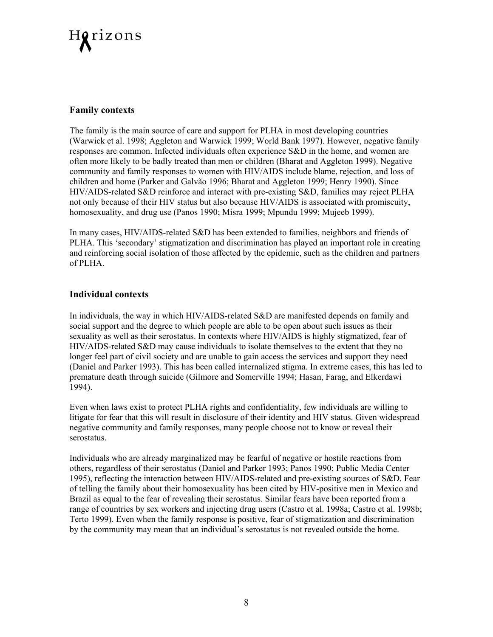

#### **Family contexts**

The family is the main source of care and support for PLHA in most developing countries (Warwick et al. 1998; Aggleton and Warwick 1999; World Bank 1997). However, negative family responses are common. Infected individuals often experience S&D in the home, and women are often more likely to be badly treated than men or children (Bharat and Aggleton 1999). Negative community and family responses to women with HIV/AIDS include blame, rejection, and loss of children and home (Parker and Galvão 1996; Bharat and Aggleton 1999; Henry 1990). Since HIV/AIDS-related S&D reinforce and interact with pre-existing S&D, families may reject PLHA not only because of their HIV status but also because HIV/AIDS is associated with promiscuity, homosexuality, and drug use (Panos 1990; Misra 1999; Mpundu 1999; Mujeeb 1999).

In many cases, HIV/AIDS-related S&D has been extended to families, neighbors and friends of PLHA. This 'secondary' stigmatization and discrimination has played an important role in creating and reinforcing social isolation of those affected by the epidemic, such as the children and partners of PLHA.

#### **Individual contexts**

In individuals, the way in which HIV/AIDS-related S&D are manifested depends on family and social support and the degree to which people are able to be open about such issues as their sexuality as well as their serostatus. In contexts where HIV/AIDS is highly stigmatized, fear of HIV/AIDS-related S&D may cause individuals to isolate themselves to the extent that they no longer feel part of civil society and are unable to gain access the services and support they need (Daniel and Parker 1993). This has been called internalized stigma. In extreme cases, this has led to premature death through suicide (Gilmore and Somerville 1994; Hasan, Farag, and Elkerdawi 1994).

Even when laws exist to protect PLHA rights and confidentiality, few individuals are willing to litigate for fear that this will result in disclosure of their identity and HIV status. Given widespread negative community and family responses, many people choose not to know or reveal their serostatus.

Individuals who are already marginalized may be fearful of negative or hostile reactions from others, regardless of their serostatus (Daniel and Parker 1993; Panos 1990; Public Media Center 1995), reflecting the interaction between HIV/AIDS-related and pre-existing sources of S&D. Fear of telling the family about their homosexuality has been cited by HIV-positive men in Mexico and Brazil as equal to the fear of revealing their serostatus. Similar fears have been reported from a range of countries by sex workers and injecting drug users (Castro et al. 1998a; Castro et al. 1998b; Terto 1999). Even when the family response is positive, fear of stigmatization and discrimination by the community may mean that an individual's serostatus is not revealed outside the home.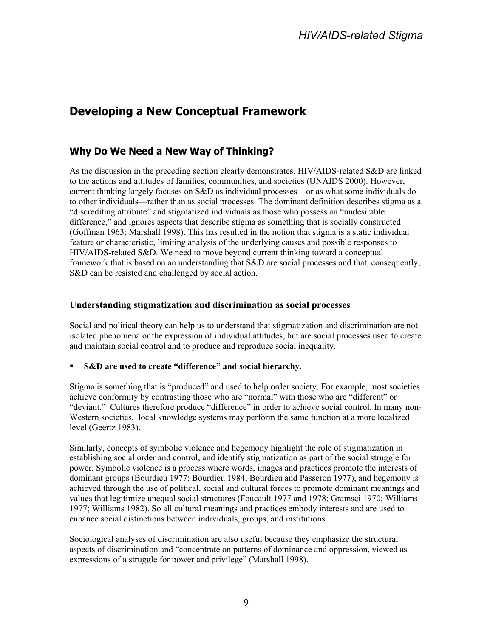# <span id="page-14-0"></span>**Developing a New Conceptual Framework**

### **Why Do We Need a New Way of Thinking?**

As the discussion in the preceding section clearly demonstrates, HIV/AIDS-related S&D are linked to the actions and attitudes of families, communities, and societies (UNAIDS 2000). However, current thinking largely focuses on S&D as individual processes—or as what some individuals do to other individuals—rather than as social processes. The dominant definition describes stigma as a "discrediting attribute" and stigmatized individuals as those who possess an "undesirable difference," and ignores aspects that describe stigma as something that is socially constructed (Goffman 1963; Marshall 1998). This has resulted in the notion that stigma is a static individual feature or characteristic, limiting analysis of the underlying causes and possible responses to HIV/AIDS-related S&D. We need to move beyond current thinking toward a conceptual framework that is based on an understanding that S&D are social processes and that, consequently, S&D can be resisted and challenged by social action.

#### **Understanding stigmatization and discrimination as social processes**

Social and political theory can help us to understand that stigmatization and discrimination are not isolated phenomena or the expression of individual attitudes, but are social processes used to create and maintain social control and to produce and reproduce social inequality.

#### **S&D are used to create "difference" and social hierarchy.**

Stigma is something that is "produced" and used to help order society. For example, most societies achieve conformity by contrasting those who are "normal" with those who are "different" or "deviant." Cultures therefore produce "difference" in order to achieve social control. In many non-Western societies, local knowledge systems may perform the same function at a more localized level (Geertz 1983).

Similarly, concepts of symbolic violence and hegemony highlight the role of stigmatization in establishing social order and control, and identify stigmatization as part of the social struggle for power. Symbolic violence is a process where words, images and practices promote the interests of dominant groups (Bourdieu 1977; Bourdieu 1984; Bourdieu and Passeron 1977), and hegemony is achieved through the use of political, social and cultural forces to promote dominant meanings and values that legitimize unequal social structures (Foucault 1977 and 1978; Gramsci 1970; Williams 1977; Williams 1982). So all cultural meanings and practices embody interests and are used to enhance social distinctions between individuals, groups, and institutions.

Sociological analyses of discrimination are also useful because they emphasize the structural aspects of discrimination and "concentrate on patterns of dominance and oppression, viewed as expressions of a struggle for power and privilege" (Marshall 1998).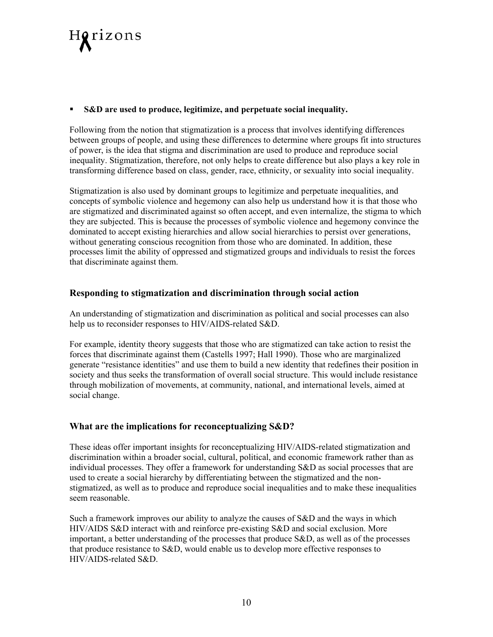

#### **S&D are used to produce, legitimize, and perpetuate social inequality.**

Following from the notion that stigmatization is a process that involves identifying differences between groups of people, and using these differences to determine where groups fit into structures of power, is the idea that stigma and discrimination are used to produce and reproduce social inequality. Stigmatization, therefore, not only helps to create difference but also plays a key role in transforming difference based on class, gender, race, ethnicity, or sexuality into social inequality.

Stigmatization is also used by dominant groups to legitimize and perpetuate inequalities, and concepts of symbolic violence and hegemony can also help us understand how it is that those who are stigmatized and discriminated against so often accept, and even internalize, the stigma to which they are subjected. This is because the processes of symbolic violence and hegemony convince the dominated to accept existing hierarchies and allow social hierarchies to persist over generations, without generating conscious recognition from those who are dominated. In addition, these processes limit the ability of oppressed and stigmatized groups and individuals to resist the forces that discriminate against them.

#### **Responding to stigmatization and discrimination through social action**

An understanding of stigmatization and discrimination as political and social processes can also help us to reconsider responses to HIV/AIDS-related S&D.

For example, identity theory suggests that those who are stigmatized can take action to resist the forces that discriminate against them (Castells 1997; Hall 1990). Those who are marginalized generate "resistance identities" and use them to build a new identity that redefines their position in society and thus seeks the transformation of overall social structure. This would include resistance through mobilization of movements, at community, national, and international levels, aimed at social change.

#### **What are the implications for reconceptualizing S&D?**

These ideas offer important insights for reconceptualizing HIV/AIDS-related stigmatization and discrimination within a broader social, cultural, political, and economic framework rather than as individual processes. They offer a framework for understanding S&D as social processes that are used to create a social hierarchy by differentiating between the stigmatized and the nonstigmatized, as well as to produce and reproduce social inequalities and to make these inequalities seem reasonable.

Such a framework improves our ability to analyze the causes of S&D and the ways in which HIV/AIDS S&D interact with and reinforce pre-existing S&D and social exclusion. More important, a better understanding of the processes that produce S&D, as well as of the processes that produce resistance to S&D, would enable us to develop more effective responses to HIV/AIDS-related S&D.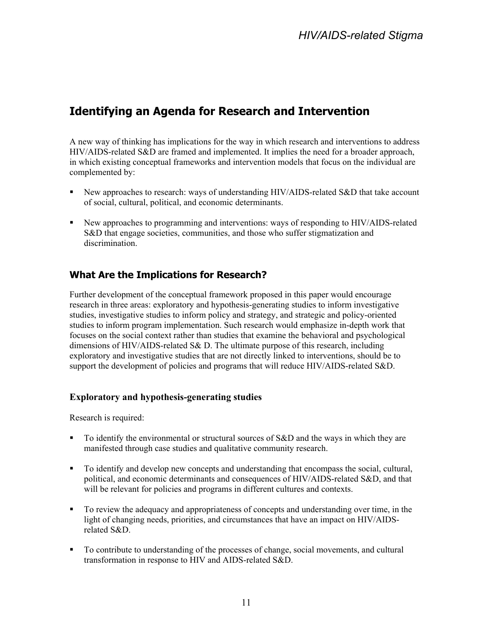# <span id="page-16-0"></span>**Identifying an Agenda for Research and Intervention**

A new way of thinking has implications for the way in which research and interventions to address HIV/AIDS-related S&D are framed and implemented. It implies the need for a broader approach, in which existing conceptual frameworks and intervention models that focus on the individual are complemented by:

- New approaches to research: ways of understanding HIV/AIDS-related S&D that take account of social, cultural, political, and economic determinants.
- New approaches to programming and interventions: ways of responding to HIV/AIDS-related S&D that engage societies, communities, and those who suffer stigmatization and discrimination.

### **What Are the Implications for Research?**

Further development of the conceptual framework proposed in this paper would encourage research in three areas: exploratory and hypothesis-generating studies to inform investigative studies, investigative studies to inform policy and strategy, and strategic and policy-oriented studies to inform program implementation. Such research would emphasize in-depth work that focuses on the social context rather than studies that examine the behavioral and psychological dimensions of HIV/AIDS-related S& D. The ultimate purpose of this research, including exploratory and investigative studies that are not directly linked to interventions, should be to support the development of policies and programs that will reduce HIV/AIDS-related S&D.

#### **Exploratory and hypothesis-generating studies**

Research is required:

- To identify the environmental or structural sources of S&D and the ways in which they are manifested through case studies and qualitative community research.
- To identify and develop new concepts and understanding that encompass the social, cultural, political, and economic determinants and consequences of HIV/AIDS-related S&D, and that will be relevant for policies and programs in different cultures and contexts.
- To review the adequacy and appropriateness of concepts and understanding over time, in the light of changing needs, priorities, and circumstances that have an impact on HIV/AIDSrelated S&D.
- To contribute to understanding of the processes of change, social movements, and cultural transformation in response to HIV and AIDS-related S&D.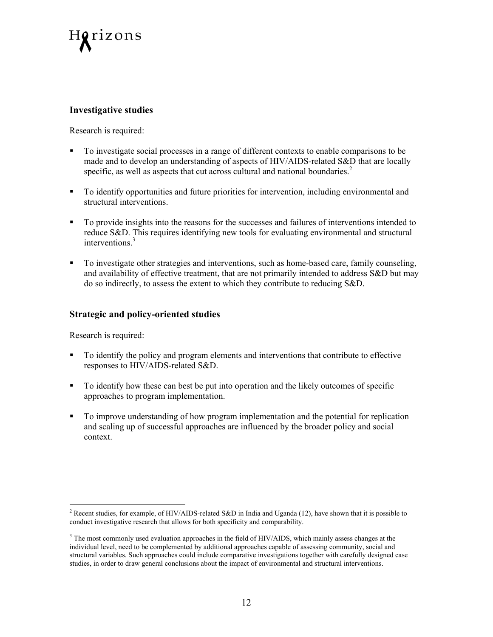

#### **Investigative studies**

Research is required:

- To investigate social processes in a range of different contexts to enable comparisons to be made and to develop an understanding of aspects of HIV/AIDS-related S&D that are locally specific,as well as aspects that cut across cultural and national boundaries.<sup>2</sup>
- To identify opportunities and future priorities for intervention, including environmental and structural interventions.
- To provide insights into the reasons for the successes and failures of interventions intended to reduce S&D. This requires identifying new tools for evaluating environmental and structural interventions.<sup>3</sup>
- To investigate other strategies and interventions, such as home-based care, family counseling, and availability of effective treatment, that are not primarily intended to address S&D but may do so indirectly, to assess the extent to which they contribute to reducing S&D.

#### **Strategic and policy-oriented studies**

Research is required:

- To identify the policy and program elements and interventions that contribute to effective responses to HIV/AIDS-related S&D.
- To identify how these can best be put into operation and the likely outcomes of specific approaches to program implementation.
- To improve understanding of how program implementation and the potential for replication and scaling up of successful approaches are influenced by the broader policy and social context.

<span id="page-17-0"></span><sup>&</sup>lt;sup>2</sup> Recent studies, for example, of HIV/AIDS-related S&D in India and Uganda (12), have shown that it is possible to conduct investigative research that allows for both specificity and comparability.

<span id="page-17-1"></span><sup>&</sup>lt;sup>3</sup> The most commonly used evaluation approaches in the field of HIV/AIDS, which mainly assess changes at the individual level, need to be complemented by additional approaches capable of assessing community, social and structural variables. Such approaches could include comparative investigations together with carefully designed case studies, in order to draw general conclusions about the impact of environmental and structural interventions.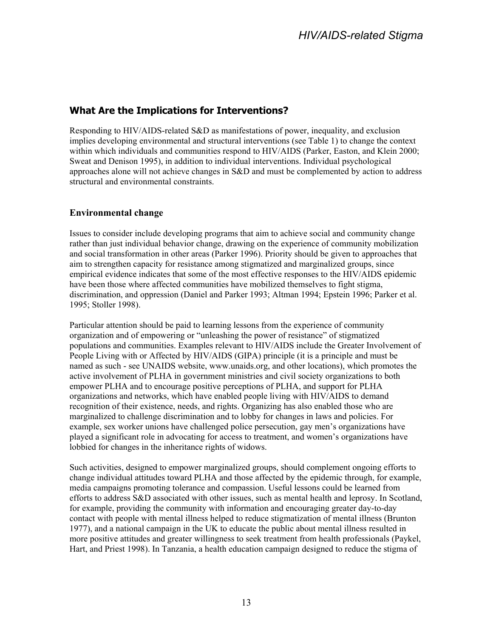#### <span id="page-18-0"></span>**What Are the Implications for Interventions?**

Responding to HIV/AIDS-related S&D as manifestations of power, inequality, and exclusion implies developing environmental and structural interventions (see Table 1) to change the context within which individuals and communities respond to HIV/AIDS (Parker, Easton, and Klein 2000; Sweat and Denison 1995), in addition to individual interventions. Individual psychological approaches alone will not achieve changes in S&D and must be complemented by action to address structural and environmental constraints.

#### **Environmental change**

Issues to consider include developing programs that aim to achieve social and community change rather than just individual behavior change, drawing on the experience of community mobilization and social transformation in other areas (Parker 1996). Priority should be given to approaches that aim to strengthen capacity for resistance among stigmatized and marginalized groups, since empirical evidence indicates that some of the most effective responses to the HIV/AIDS epidemic have been those where affected communities have mobilized themselves to fight stigma, discrimination, and oppression (Daniel and Parker 1993; Altman 1994; Epstein 1996; Parker et al. 1995; Stoller 1998).

Particular attention should be paid to learning lessons from the experience of community organization and of empowering or "unleashing the power of resistance" of stigmatized populations and communities. Examples relevant to HIV/AIDS include the Greater Involvement of People Living with or Affected by HIV/AIDS (GIPA) principle (it is a principle and must be named as such - see UNAIDS website, www.unaids.org, and other locations), which promotes the active involvement of PLHA in government ministries and civil society organizations to both empower PLHA and to encourage positive perceptions of PLHA, and support for PLHA organizations and networks, which have enabled people living with HIV/AIDS to demand recognition of their existence, needs, and rights. Organizing has also enabled those who are marginalized to challenge discrimination and to lobby for changes in laws and policies. For example, sex worker unions have challenged police persecution, gay men's organizations have played a significant role in advocating for access to treatment, and women's organizations have lobbied for changes in the inheritance rights of widows.

Such activities, designed to empower marginalized groups, should complement ongoing efforts to change individual attitudes toward PLHA and those affected by the epidemic through, for example, media campaigns promoting tolerance and compassion. Useful lessons could be learned from efforts to address S&D associated with other issues, such as mental health and leprosy. In Scotland, for example, providing the community with information and encouraging greater day-to-day contact with people with mental illness helped to reduce stigmatization of mental illness (Brunton 1977), and a national campaign in the UK to educate the public about mental illness resulted in more positive attitudes and greater willingness to seek treatment from health professionals (Paykel, Hart, and Priest 1998). In Tanzania, a health education campaign designed to reduce the stigma of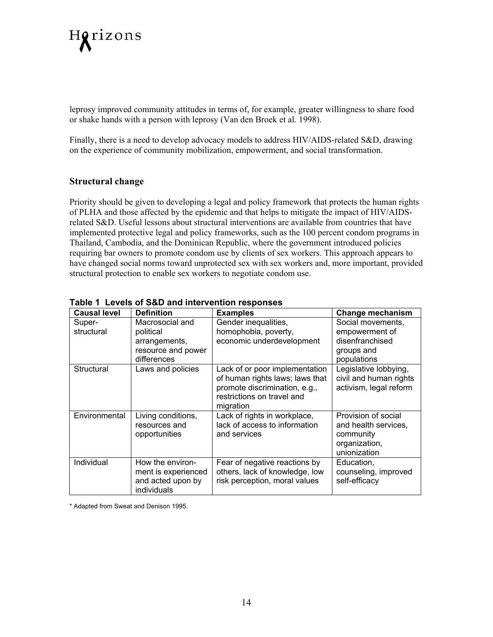

leprosy improved community attitudes in terms of, for example, greater willingness to share food or shake hands with a person with leprosy (Van den Broek et al. 1998).

Finally, there is a need to develop advocacy models to address HIV/AIDS-related S&D, drawing on the experience of community mobilization, empowerment, and social transformation.

#### **Structural change**

Priority should be given to developing a legal and policy framework that protects the human rights of PLHA and those affected by the epidemic and that helps to mitigate the impact of HIV/AIDSrelated S&D. Useful lessons about structural interventions are available from countries that have implemented protective legal and policy frameworks, such as the 100 percent condom programs in Thailand, Cambodia, and the Dominican Republic, where the government introduced policies requiring bar owners to promote condom use by clients of sex workers. This approach appears to have changed social norms toward unprotected sex with sex workers and, more important, provided structural protection to enable sex workers to negotiate condom use.

| aple I Levels Of J&D and mile vehicle responses |                                                                             |                                                                                                                                               |                                                                                           |  |
|-------------------------------------------------|-----------------------------------------------------------------------------|-----------------------------------------------------------------------------------------------------------------------------------------------|-------------------------------------------------------------------------------------------|--|
| <b>Causal level</b>                             | <b>Definition</b>                                                           | <b>Examples</b>                                                                                                                               | <b>Change mechanism</b>                                                                   |  |
| Super-<br>structural                            | Macrosocial and<br>political<br>arrangements,<br>resource and power         | Gender inequalities,<br>homophobia, poverty,<br>economic underdevelopment                                                                     | Social movements,<br>empowerment of<br>disenfranchised<br>groups and                      |  |
|                                                 | differences                                                                 |                                                                                                                                               | populations                                                                               |  |
| Structural                                      | Laws and policies                                                           | Lack of or poor implementation<br>of human rights laws; laws that<br>promote discrimination, e.g.,<br>restrictions on travel and<br>migration | Legislative lobbying,<br>civil and human rights<br>activism, legal reform                 |  |
| Environmental                                   | Living conditions,<br>resources and<br>opportunities                        | Lack of rights in workplace,<br>lack of access to information<br>and services                                                                 | Provision of social<br>and health services,<br>community<br>organization,<br>unionization |  |
| Individual                                      | How the environ-<br>ment is experienced<br>and acted upon by<br>individuals | Fear of negative reactions by<br>others, lack of knowledge, low<br>risk perception, moral values                                              | Education,<br>counseling, improved<br>self-efficacy                                       |  |

#### **Table 1 Levels of S&D and intervention responses**

\* Adapted from Sweat and Denison 1995.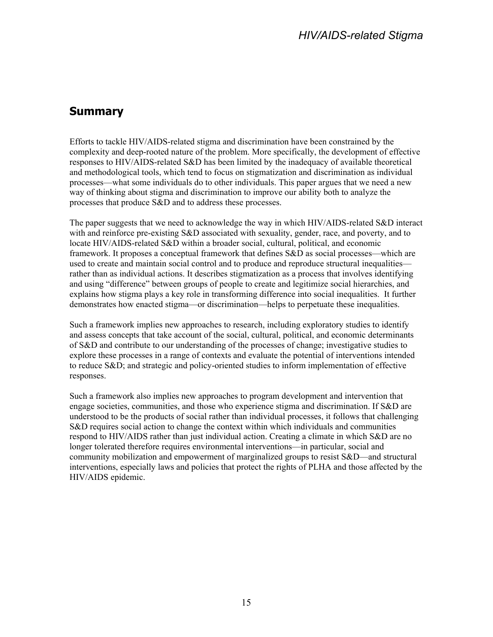## <span id="page-20-0"></span>**Summary**

Efforts to tackle HIV/AIDS-related stigma and discrimination have been constrained by the complexity and deep-rooted nature of the problem. More specifically, the development of effective responses to HIV/AIDS-related S&D has been limited by the inadequacy of available theoretical and methodological tools, which tend to focus on stigmatization and discrimination as individual processes—what some individuals do to other individuals. This paper argues that we need a new way of thinking about stigma and discrimination to improve our ability both to analyze the processes that produce S&D and to address these processes.

The paper suggests that we need to acknowledge the way in which HIV/AIDS-related S&D interact with and reinforce pre-existing S&D associated with sexuality, gender, race, and poverty, and to locate HIV/AIDS-related S&D within a broader social, cultural, political, and economic framework. It proposes a conceptual framework that defines S&D as social processes—which are used to create and maintain social control and to produce and reproduce structural inequalities rather than as individual actions. It describes stigmatization as a process that involves identifying and using "difference" between groups of people to create and legitimize social hierarchies, and explains how stigma plays a key role in transforming difference into social inequalities. It further demonstrates how enacted stigma—or discrimination—helps to perpetuate these inequalities.

Such a framework implies new approaches to research, including exploratory studies to identify and assess concepts that take account of the social, cultural, political, and economic determinants of S&D and contribute to our understanding of the processes of change; investigative studies to explore these processes in a range of contexts and evaluate the potential of interventions intended to reduce S&D; and strategic and policy-oriented studies to inform implementation of effective responses.

Such a framework also implies new approaches to program development and intervention that engage societies, communities, and those who experience stigma and discrimination. If S&D are understood to be the products of social rather than individual processes, it follows that challenging S&D requires social action to change the context within which individuals and communities respond to HIV/AIDS rather than just individual action. Creating a climate in which S&D are no longer tolerated therefore requires environmental interventions—in particular, social and community mobilization and empowerment of marginalized groups to resist S&D—and structural interventions, especially laws and policies that protect the rights of PLHA and those affected by the HIV/AIDS epidemic.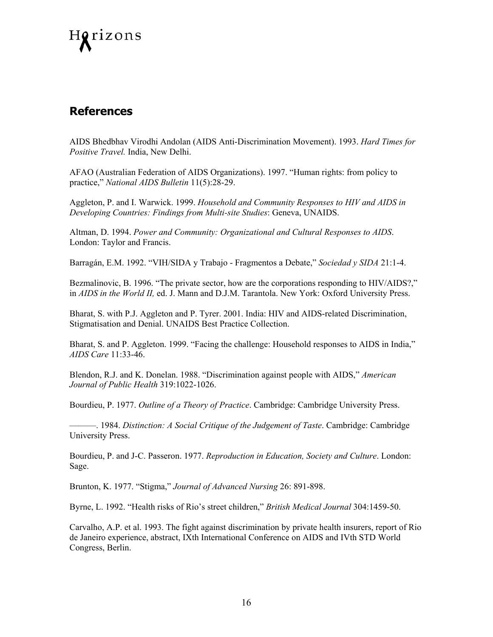<span id="page-21-0"></span>

### **References**

AIDS Bhedbhav Virodhi Andolan (AIDS Anti-Discrimination Movement). 1993. *Hard Times for Positive Travel.* India, New Delhi.

AFAO (Australian Federation of AIDS Organizations). 1997. "Human rights: from policy to practice," *National AIDS Bulletin* 11(5):28-29.

Aggleton, P. and I. Warwick. 1999. *Household and Community Responses to HIV and AIDS in Developing Countries: Findings from Multi-site Studies*: Geneva, UNAIDS.

Altman, D. 1994. *Power and Community: Organizational and Cultural Responses to AIDS*. London: Taylor and Francis.

Barragán, E.M. 1992. "VIH/SIDA y Trabajo - Fragmentos a Debate," *Sociedad y SIDA* 21:1-4.

Bezmalinovic, B. 1996. "The private sector, how are the corporations responding to HIV/AIDS?," in *AIDS in the World II,* ed. J. Mann and D.J.M. Tarantola. New York: Oxford University Press.

Bharat, S. with P.J. Aggleton and P. Tyrer. 2001. India: HIV and AIDS-related Discrimination, Stigmatisation and Denial. UNAIDS Best Practice Collection.

Bharat, S. and P. Aggleton. 1999. "Facing the challenge: Household responses to AIDS in India," *AIDS Care* 11:33-46.

Blendon, R.J. and K. Donelan. 1988. "Discrimination against people with AIDS," *American Journal of Public Health* 319:1022-1026.

Bourdieu, P. 1977. *Outline of a Theory of Practice*. Cambridge: Cambridge University Press.

———. 1984. *Distinction: A Social Critique of the Judgement of Taste*. Cambridge: Cambridge University Press.

Bourdieu, P. and J-C. Passeron. 1977. *Reproduction in Education, Society and Culture*. London: Sage.

Brunton, K. 1977. "Stigma," *Journal of Advanced Nursing* 26: 891-898.

Byrne, L. 1992. "Health risks of Rio's street children," *British Medical Journal* 304:1459-50.

Carvalho, A.P. et al. 1993. The fight against discrimination by private health insurers, report of Rio de Janeiro experience, abstract, IXth International Conference on AIDS and IVth STD World Congress, Berlin.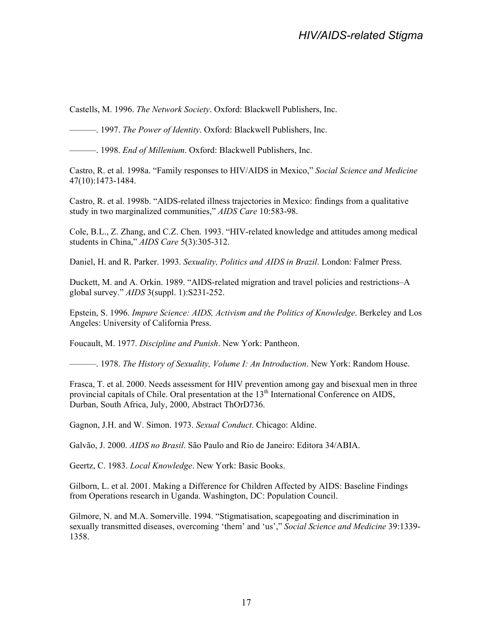Castells, M. 1996. *The Network Society*. Oxford: Blackwell Publishers, Inc.

———. 1997. *The Power of Identity*. Oxford: Blackwell Publishers, Inc.

———. 1998. *End of Millenium*. Oxford: Blackwell Publishers, Inc.

Castro, R. et al. 1998a. "Family responses to HIV/AIDS in Mexico," *Social Science and Medicine* 47(10):1473-1484.

Castro, R. et al. 1998b. "AIDS-related illness trajectories in Mexico: findings from a qualitative study in two marginalized communities," *AIDS Care* 10:583-98.

Cole, B.L., Z. Zhang, and C.Z. Chen. 1993. "HIV-related knowledge and attitudes among medical students in China," *AIDS Care* 5(3):305-312.

Daniel, H. and R. Parker. 1993. *Sexuality, Politics and AIDS in Brazil*. London: Falmer Press.

Duckett, M. and A. Orkin. 1989. "AIDS-related migration and travel policies and restrictions–A global survey." *AIDS* 3(suppl. 1):S231-252.

Epstein, S. 1996. *Impure Science: AIDS, Activism and the Politics of Knowledge*. Berkeley and Los Angeles: University of California Press.

Foucault, M. 1977. *Discipline and Punish*. New York: Pantheon.

———. 1978. *The History of Sexuality, Volume I: An Introduction*. New York: Random House.

Frasca, T. et al. 2000. Needs assessment for HIV prevention among gay and bisexual men in three provincial capitals of Chile. Oral presentation at the 13<sup>th</sup> International Conference on AIDS, Durban, South Africa, July, 2000, Abstract ThOrD736.

Gagnon, J.H. and W. Simon. 1973. *Sexual Conduct*. Chicago: Aldine.

Galvão, J. 2000. *AIDS no Brasil*. São Paulo and Rio de Janeiro: Editora 34/ABIA.

Geertz, C. 1983. *Local Knowledge*. New York: Basic Books.

Gilborn, L. et al. 2001. Making a Difference for Children Affected by AIDS: Baseline Findings from Operations research in Uganda. Washington, DC: Population Council.

Gilmore, N. and M.A. Somerville. 1994. "Stigmatisation, scapegoating and discrimination in sexually transmitted diseases, overcoming 'them' and 'us'," *Social Science and Medicine* 39:1339- 1358.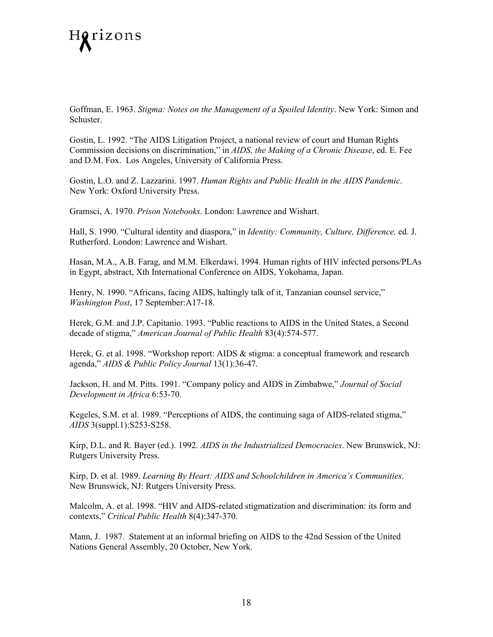

Goffman, E. 1963. *Stigma: Notes on the Management of a Spoiled Identity*. New York: Simon and Schuster.

Gostin, L. 1992. "The AIDS Litigation Project, a national review of court and Human Rights Commission decisions on discrimination," in *AIDS, the Making of a Chronic Disease*, ed. E. Fee and D.M. Fox. Los Angeles, University of California Press.

Gostin, L.O. and Z. Lazzarini. 1997. *Human Rights and Public Health in the AIDS Pandemic*. New York: Oxford University Press.

Gramsci, A. 1970. *Prison Notebooks*. London: Lawrence and Wishart.

Hall, S. 1990. "Cultural identity and diaspora," in *Identity: Community, Culture, Difference,* ed. J. Rutherford. London: Lawrence and Wishart.

Hasan, M.A., A.B. Farag, and M.M. Elkerdawi. 1994. Human rights of HIV infected persons/PLAs in Egypt, abstract, Xth International Conference on AIDS, Yokohama, Japan.

Henry, N. 1990. "Africans, facing AIDS, haltingly talk of it, Tanzanian counsel service," *Washington Post*, 17 September:A17-18.

Herek, G.M. and J.P. Capitanio. 1993. "Public reactions to AIDS in the United States, a Second decade of stigma," *American Journal of Public Health* 83(4):574-577.

Herek, G. et al. 1998. "Workshop report: AIDS & stigma: a conceptual framework and research agenda," *AIDS & Public Policy Journal* 13(1):36-47.

Jackson, H. and M. Pitts. 1991. "Company policy and AIDS in Zimbabwe," *Journal of Social Development in Africa* 6:53-70.

Kegeles, S.M. et al. 1989. "Perceptions of AIDS, the continuing saga of AIDS-related stigma," *AIDS* 3(suppl.1):S253-S258.

Kirp, D.L. and R. Bayer (ed.). 1992. *AIDS in the Industrialized Democracies*. New Brunswick, NJ: Rutgers University Press.

Kirp, D. et al. 1989. *Learning By Heart: AIDS and Schoolchildren in America's Communities*. New Brunswick, NJ: Rutgers University Press.

Malcolm, A. et al. 1998. "HIV and AIDS-related stigmatization and discrimination: its form and contexts," *Critical Public Health* 8(4):347-370.

Mann, J. 1987. Statement at an informal briefing on AIDS to the 42nd Session of the United Nations General Assembly, 20 October, New York.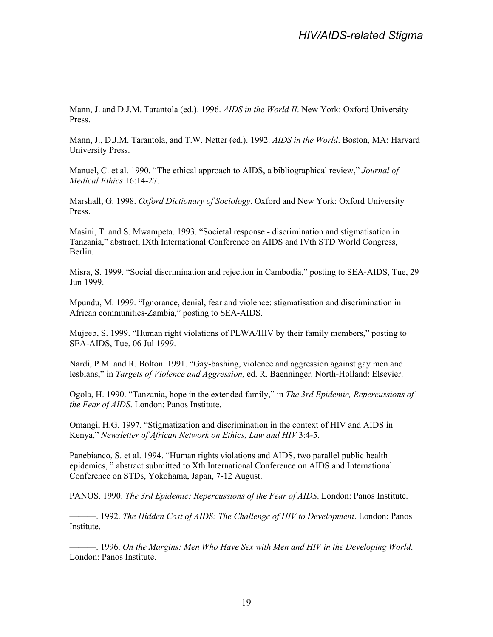Mann, J. and D.J.M. Tarantola (ed.). 1996. *AIDS in the World II*. New York: Oxford University Press.

Mann, J., D.J.M. Tarantola, and T.W. Netter (ed.). 1992. *AIDS in the World*. Boston, MA: Harvard University Press.

Manuel, C. et al. 1990. "The ethical approach to AIDS, a bibliographical review," *Journal of Medical Ethics* 16:14-27.

Marshall, G. 1998. *Oxford Dictionary of Sociology*. Oxford and New York: Oxford University Press.

Masini, T. and S. Mwampeta. 1993. "Societal response - discrimination and stigmatisation in Tanzania," abstract, IXth International Conference on AIDS and IVth STD World Congress, Berlin.

Misra, S. 1999. "Social discrimination and rejection in Cambodia," posting to SEA-AIDS, Tue, 29 Jun 1999.

Mpundu, M. 1999. "Ignorance, denial, fear and violence: stigmatisation and discrimination in African communities-Zambia," posting to SEA-AIDS.

Mujeeb, S. 1999. "Human right violations of PLWA/HIV by their family members," posting to SEA-AIDS, Tue, 06 Jul 1999.

Nardi, P.M. and R. Bolton. 1991. "Gay-bashing, violence and aggression against gay men and lesbians," in *Targets of Violence and Aggression,* ed. R. Baenninger. North-Holland: Elsevier.

Ogola, H. 1990. "Tanzania, hope in the extended family," in *The 3rd Epidemic, Repercussions of the Fear of AIDS*. London: Panos Institute.

Omangi, H.G. 1997. "Stigmatization and discrimination in the context of HIV and AIDS in Kenya," *Newsletter of African Network on Ethics, Law and HIV* 3:4-5.

Panebianco, S. et al. 1994. "Human rights violations and AIDS, two parallel public health epidemics, " abstract submitted to Xth International Conference on AIDS and International Conference on STDs, Yokohama, Japan, 7-12 August.

PANOS. 1990. *The 3rd Epidemic: Repercussions of the Fear of AIDS*. London: Panos Institute.

———. 1992. *The Hidden Cost of AIDS: The Challenge of HIV to Development*. London: Panos Institute.

———. 1996. *On the Margins: Men Who Have Sex with Men and HIV in the Developing World*. London: Panos Institute.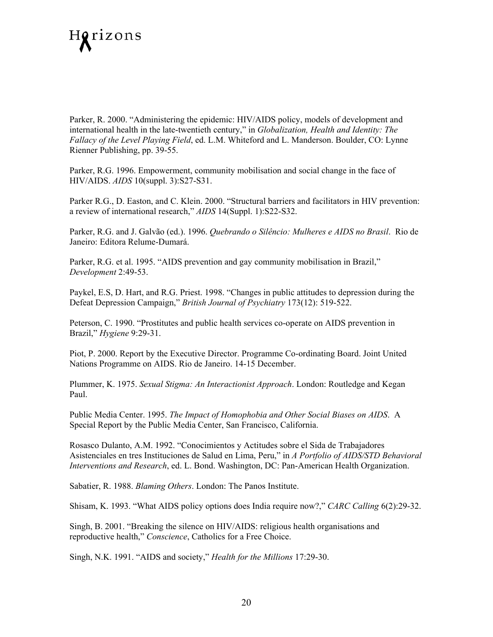

Parker, R. 2000. "Administering the epidemic: HIV/AIDS policy, models of development and international health in the late-twentieth century," in *Globalization, Health and Identity: The Fallacy of the Level Playing Field*, ed. L.M. Whiteford and L. Manderson. Boulder, CO: Lynne Rienner Publishing, pp. 39-55.

Parker, R.G. 1996. Empowerment, community mobilisation and social change in the face of HIV/AIDS. *AIDS* 10(suppl. 3):S27-S31.

Parker R.G., D. Easton, and C. Klein. 2000. "Structural barriers and facilitators in HIV prevention: a review of international research," *AIDS* 14(Suppl. 1):S22-S32.

Parker, R.G. and J. Galvão (ed.). 1996. *Quebrando o Silêncio: Mulheres e AIDS no Brasil*. Rio de Janeiro: Editora Relume-Dumará.

Parker, R.G. et al. 1995. "AIDS prevention and gay community mobilisation in Brazil," *Development* 2:49-53.

Paykel, E.S, D. Hart, and R.G. Priest. 1998. "Changes in public attitudes to depression during the Defeat Depression Campaign," *British Journal of Psychiatry* 173(12): 519-522.

Peterson, C. 1990. "Prostitutes and public health services co-operate on AIDS prevention in Brazil," *Hygiene* 9:29-31.

Piot, P. 2000. Report by the Executive Director. Programme Co-ordinating Board. Joint United Nations Programme on AIDS. Rio de Janeiro. 14-15 December.

Plummer, K. 1975. *Sexual Stigma: An Interactionist Approach*. London: Routledge and Kegan Paul.

Public Media Center. 1995. *The Impact of Homophobia and Other Social Biases on AIDS*. A Special Report by the Public Media Center, San Francisco, California.

Rosasco Dulanto, A.M. 1992. "Conocimientos y Actitudes sobre el Sida de Trabajadores Asistenciales en tres Instituciones de Salud en Lima, Peru," in *A Portfolio of AIDS/STD Behavioral Interventions and Research*, ed. L. Bond. Washington, DC: Pan-American Health Organization.

Sabatier, R. 1988. *Blaming Others*. London: The Panos Institute.

Shisam, K. 1993. "What AIDS policy options does India require now?," *CARC Calling* 6(2):29-32.

Singh, B. 2001. "Breaking the silence on HIV/AIDS: religious health organisations and reproductive health," *Conscience*, Catholics for a Free Choice.

Singh, N.K. 1991. "AIDS and society," *Health for the Millions* 17:29-30.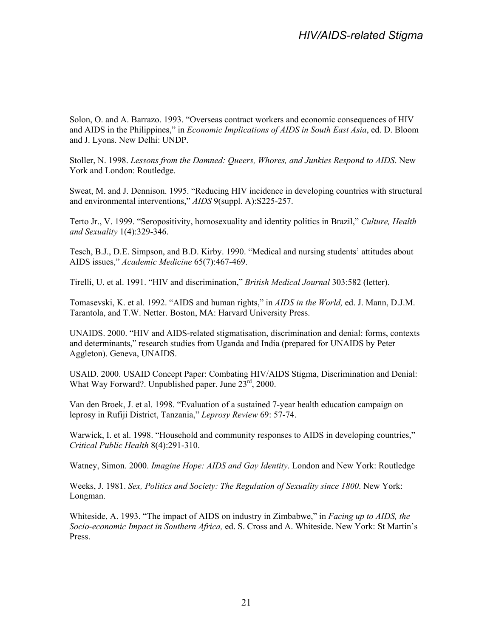Solon, O. and A. Barrazo. 1993. "Overseas contract workers and economic consequences of HIV and AIDS in the Philippines," in *Economic Implications of AIDS in South East Asia*, ed. D. Bloom and J. Lyons. New Delhi: UNDP.

Stoller, N. 1998. *Lessons from the Damned: Queers, Whores, and Junkies Respond to AIDS*. New York and London: Routledge.

Sweat, M. and J. Dennison. 1995. "Reducing HIV incidence in developing countries with structural and environmental interventions," *AIDS* 9(suppl. A):S225-257.

Terto Jr., V. 1999. "Seropositivity, homosexuality and identity politics in Brazil," *Culture, Health and Sexuality* 1(4):329-346.

Tesch, B.J., D.E. Simpson, and B.D. Kirby. 1990. "Medical and nursing students' attitudes about AIDS issues," *Academic Medicine* 65(7):467-469.

Tirelli, U. et al. 1991. "HIV and discrimination," *British Medical Journal* 303:582 (letter).

Tomasevski, K. et al. 1992. "AIDS and human rights," in *AIDS in the World,* ed. J. Mann, D.J.M. Tarantola, and T.W. Netter. Boston, MA: Harvard University Press.

UNAIDS. 2000. "HIV and AIDS-related stigmatisation, discrimination and denial: forms, contexts and determinants," research studies from Uganda and India (prepared for UNAIDS by Peter Aggleton). Geneva, UNAIDS.

USAID. 2000. USAID Concept Paper: Combating HIV/AIDS Stigma, Discrimination and Denial: What Way Forward?. Unpublished paper. June  $23<sup>rd</sup>$ , 2000.

Van den Broek, J. et al. 1998. "Evaluation of a sustained 7-year health education campaign on leprosy in Rufiji District, Tanzania," *Leprosy Review* 69: 57-74.

Warwick, I. et al. 1998. "Household and community responses to AIDS in developing countries," *Critical Public Health* 8(4):291-310.

Watney, Simon. 2000. *Imagine Hope: AIDS and Gay Identity*. London and New York: Routledge

Weeks, J. 1981. *Sex, Politics and Society: The Regulation of Sexuality since 1800*. New York: Longman.

Whiteside, A. 1993. "The impact of AIDS on industry in Zimbabwe," in *Facing up to AIDS, the Socio-economic Impact in Southern Africa,* ed. S. Cross and A. Whiteside. New York: St Martin's Press.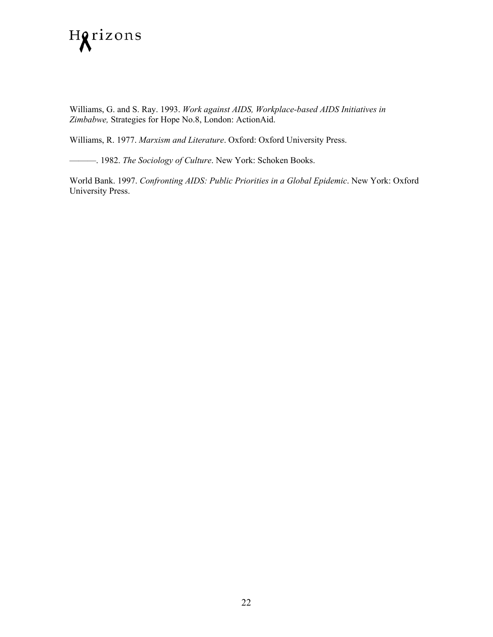

Williams, G. and S. Ray. 1993. *Work against AIDS, Workplace-based AIDS Initiatives in Zimbabwe,* Strategies for Hope No.8, London: ActionAid.

Williams, R. 1977. *Marxism and Literature*. Oxford: Oxford University Press.

———. 1982. *The Sociology of Culture*. New York: Schoken Books.

World Bank. 1997. *Confronting AIDS: Public Priorities in a Global Epidemic*. New York: Oxford University Press.